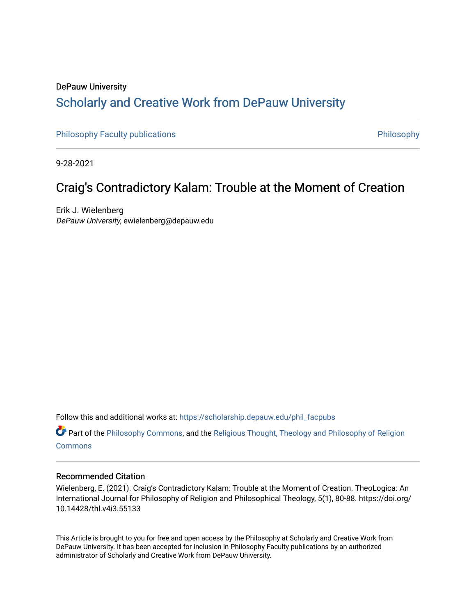# DePauw University Scholarly and [Creative Work from DePauw Univ](https://scholarship.depauw.edu/)ersity

[Philosophy Faculty publications](https://scholarship.depauw.edu/phil_facpubs) **Philosophy** Philosophy

9-28-2021

# Craig's Contradictory Kalam: Trouble at the Moment of Creation

Erik J. Wielenberg DePauw University, ewielenberg@depauw.edu

Follow this and additional works at: [https://scholarship.depauw.edu/phil\\_facpubs](https://scholarship.depauw.edu/phil_facpubs?utm_source=scholarship.depauw.edu%2Fphil_facpubs%2F13&utm_medium=PDF&utm_campaign=PDFCoverPages) 

Part of the [Philosophy Commons,](https://network.bepress.com/hgg/discipline/525?utm_source=scholarship.depauw.edu%2Fphil_facpubs%2F13&utm_medium=PDF&utm_campaign=PDFCoverPages) and the [Religious Thought, Theology and Philosophy of Religion](https://network.bepress.com/hgg/discipline/544?utm_source=scholarship.depauw.edu%2Fphil_facpubs%2F13&utm_medium=PDF&utm_campaign=PDFCoverPages)  **[Commons](https://network.bepress.com/hgg/discipline/544?utm_source=scholarship.depauw.edu%2Fphil_facpubs%2F13&utm_medium=PDF&utm_campaign=PDFCoverPages)** 

#### Recommended Citation

Wielenberg, E. (2021). Craig's Contradictory Kalam: Trouble at the Moment of Creation. TheoLogica: An International Journal for Philosophy of Religion and Philosophical Theology, 5(1), 80-88. https://doi.org/ 10.14428/thl.v4i3.55133

This Article is brought to you for free and open access by the Philosophy at Scholarly and Creative Work from DePauw University. It has been accepted for inclusion in Philosophy Faculty publications by an authorized administrator of Scholarly and Creative Work from DePauw University.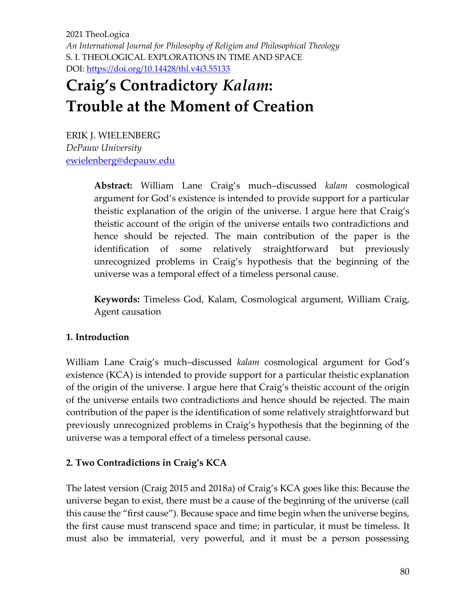2021 TheoLogica *An International Journal for Philosophy of Religion and Philosophical Theology* S. I. THEOLOGICAL EXPLORATIONS IN TIME AND SPACE DOI: <https://doi.org/10.14428/thl.v4i3.55133>

# **Craig's Contradictory** *Kalam***: Trouble at the Moment of Creation**

ERIK J. WIELENBERG *DePauw University* [ewielenberg@depauw.edu](mailto:ewielenberg@depauw.edu)

> **Abstract:** William Lane Craig's much–discussed *kalam* cosmological argument for God's existence is intended to provide support for a particular theistic explanation of the origin of the universe. I argue here that Craig's theistic account of the origin of the universe entails two contradictions and hence should be rejected. The main contribution of the paper is the identification of some relatively straightforward but previously unrecognized problems in Craig's hypothesis that the beginning of the universe was a temporal effect of a timeless personal cause.

> **Keywords:** Timeless God, Kalam, Cosmological argument, William Craig, Agent causation

## **1. Introduction**

William Lane Craig's much–discussed *kalam* cosmological argument for God's existence (KCA) is intended to provide support for a particular theistic explanation of the origin of the universe. I argue here that Craig's theistic account of the origin of the universe entails two contradictions and hence should be rejected. The main contribution of the paper is the identification of some relatively straightforward but previously unrecognized problems in Craig's hypothesis that the beginning of the universe was a temporal effect of a timeless personal cause.

## **2. Two Contradictions in Craig's KCA**

The latest version (Craig 2015 and 2018a) of Craig's KCA goes like this: Because the universe began to exist, there must be a cause of the beginning of the universe (call this cause the "first cause"). Because space and time begin when the universe begins, the first cause must transcend space and time; in particular, it must be timeless. It must also be immaterial, very powerful, and it must be a person possessing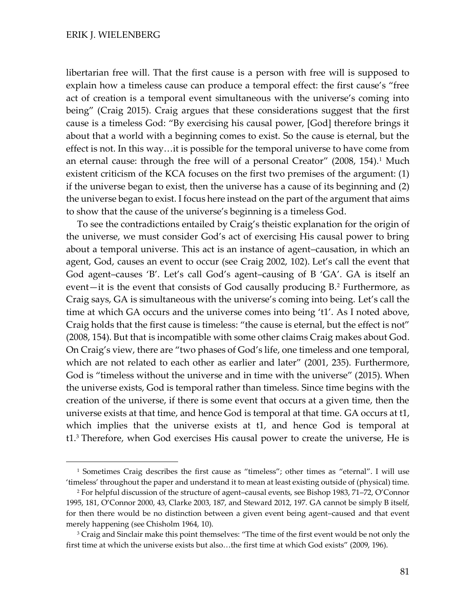libertarian free will. That the first cause is a person with free will is supposed to explain how a timeless cause can produce a temporal effect: the first cause's "free act of creation is a temporal event simultaneous with the universe's coming into being" (Craig 2015). Craig argues that these considerations suggest that the first cause is a timeless God: "By exercising his causal power, [God] therefore brings it about that a world with a beginning comes to exist. So the cause is eternal, but the effect is not. In this way…it is possible for the temporal universe to have come from an eternal cause: through the free will of a personal Creator"  $(2008, 154).$ <sup>1</sup> Much existent criticism of the KCA focuses on the first two premises of the argument: (1) if the universe began to exist, then the universe has a cause of its beginning and (2) the universe began to exist. I focus here instead on the part of the argument that aims to show that the cause of the universe's beginning is a timeless God.

To see the contradictions entailed by Craig's theistic explanation for the origin of the universe, we must consider God's act of exercising His causal power to bring about a temporal universe. This act is an instance of agent–causation, in which an agent, God, causes an event to occur (see Craig 2002, 102). Let's call the event that God agent–causes 'B'. Let's call God's agent–causing of B 'GA'. GA is itself an event—it is the event that consists of God causally producing B.<sup>2</sup> Furthermore, as Craig says, GA is simultaneous with the universe's coming into being. Let's call the time at which GA occurs and the universe comes into being 't1'. As I noted above, Craig holds that the first cause is timeless: "the cause is eternal, but the effect is not" (2008, 154). But that is incompatible with some other claims Craig makes about God. On Craig's view, there are "two phases of God's life, one timeless and one temporal, which are not related to each other as earlier and later" (2001, 235). Furthermore, God is "timeless without the universe and in time with the universe" (2015). When the universe exists, God is temporal rather than timeless. Since time begins with the creation of the universe, if there is some event that occurs at a given time, then the universe exists at that time, and hence God is temporal at that time. GA occurs at t1, which implies that the universe exists at t1, and hence God is temporal at t1.<sup>3</sup> Therefore, when God exercises His causal power to create the universe, He is

<sup>1</sup> Sometimes Craig describes the first cause as "timeless"; other times as "eternal". I will use 'timeless' throughout the paper and understand it to mean at least existing outside of (physical) time.

<sup>2</sup> For helpful discussion of the structure of agent–causal events, see Bishop 1983, 71–72, O'Connor 1995, 181, O'Connor 2000, 43, Clarke 2003, 187, and Steward 2012, 197. GA cannot be simply B itself, for then there would be no distinction between a given event being agent–caused and that event merely happening (see Chisholm 1964, 10).

<sup>&</sup>lt;sup>3</sup> Craig and Sinclair make this point themselves: "The time of the first event would be not only the first time at which the universe exists but also…the first time at which God exists" (2009, 196).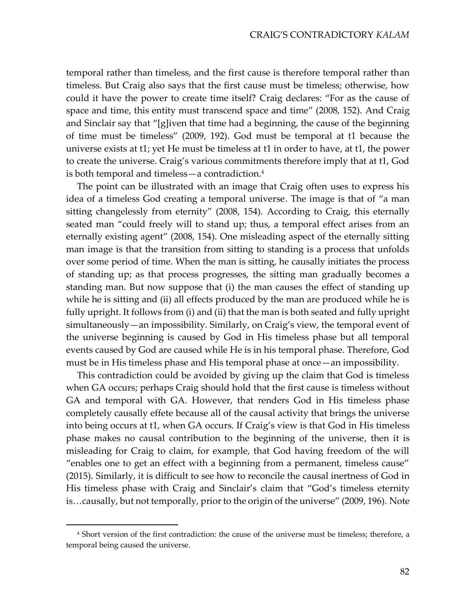temporal rather than timeless, and the first cause is therefore temporal rather than timeless. But Craig also says that the first cause must be timeless; otherwise, how could it have the power to create time itself? Craig declares: "For as the cause of space and time, this entity must transcend space and time" (2008, 152). And Craig and Sinclair say that "[g]iven that time had a beginning, the cause of the beginning of time must be timeless" (2009, 192). God must be temporal at t1 because the universe exists at t1; yet He must be timeless at t1 in order to have, at t1, the power to create the universe. Craig's various commitments therefore imply that at t1, God is both temporal and timeless—a contradiction.<sup>4</sup>

The point can be illustrated with an image that Craig often uses to express his idea of a timeless God creating a temporal universe. The image is that of "a man sitting changelessly from eternity" (2008, 154). According to Craig, this eternally seated man "could freely will to stand up; thus, a temporal effect arises from an eternally existing agent" (2008, 154). One misleading aspect of the eternally sitting man image is that the transition from sitting to standing is a process that unfolds over some period of time. When the man is sitting, he causally initiates the process of standing up; as that process progresses, the sitting man gradually becomes a standing man. But now suppose that (i) the man causes the effect of standing up while he is sitting and (ii) all effects produced by the man are produced while he is fully upright. It follows from (i) and (ii) that the man is both seated and fully upright simultaneously—an impossibility. Similarly, on Craig's view, the temporal event of the universe beginning is caused by God in His timeless phase but all temporal events caused by God are caused while He is in his temporal phase. Therefore, God must be in His timeless phase and His temporal phase at once—an impossibility.

This contradiction could be avoided by giving up the claim that God is timeless when GA occurs; perhaps Craig should hold that the first cause is timeless without GA and temporal with GA. However, that renders God in His timeless phase completely causally effete because all of the causal activity that brings the universe into being occurs at t1, when GA occurs. If Craig's view is that God in His timeless phase makes no causal contribution to the beginning of the universe, then it is misleading for Craig to claim, for example, that God having freedom of the will "enables one to get an effect with a beginning from a permanent, timeless cause" (2015). Similarly, it is difficult to see how to reconcile the causal inertness of God in His timeless phase with Craig and Sinclair's claim that "God's timeless eternity is…causally, but not temporally, prior to the origin of the universe" (2009, 196). Note

<sup>4</sup> Short version of the first contradiction: the cause of the universe must be timeless; therefore, a temporal being caused the universe.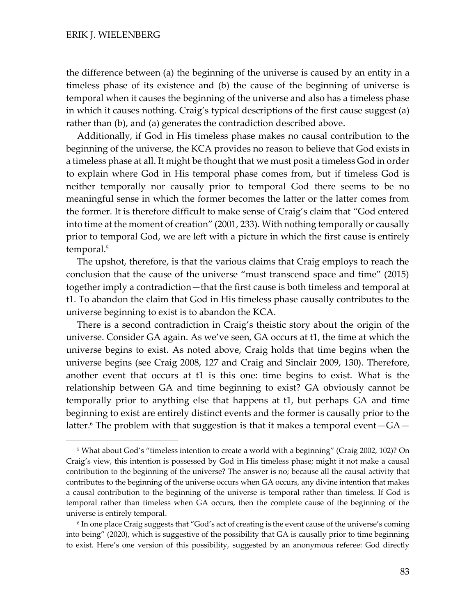the difference between (a) the beginning of the universe is caused by an entity in a timeless phase of its existence and (b) the cause of the beginning of universe is temporal when it causes the beginning of the universe and also has a timeless phase in which it causes nothing. Craig's typical descriptions of the first cause suggest (a) rather than (b), and (a) generates the contradiction described above.

Additionally, if God in His timeless phase makes no causal contribution to the beginning of the universe, the KCA provides no reason to believe that God exists in a timeless phase at all. It might be thought that we must posit a timeless God in order to explain where God in His temporal phase comes from, but if timeless God is neither temporally nor causally prior to temporal God there seems to be no meaningful sense in which the former becomes the latter or the latter comes from the former. It is therefore difficult to make sense of Craig's claim that "God entered into time at the moment of creation" (2001, 233). With nothing temporally or causally prior to temporal God, we are left with a picture in which the first cause is entirely temporal. 5

The upshot, therefore, is that the various claims that Craig employs to reach the conclusion that the cause of the universe "must transcend space and time" (2015) together imply a contradiction—that the first cause is both timeless and temporal at t1. To abandon the claim that God in His timeless phase causally contributes to the universe beginning to exist is to abandon the KCA.

There is a second contradiction in Craig's theistic story about the origin of the universe. Consider GA again. As we've seen, GA occurs at t1, the time at which the universe begins to exist. As noted above, Craig holds that time begins when the universe begins (see Craig 2008, 127 and Craig and Sinclair 2009, 130). Therefore, another event that occurs at t1 is this one: time begins to exist. What is the relationship between GA and time beginning to exist? GA obviously cannot be temporally prior to anything else that happens at t1, but perhaps GA and time beginning to exist are entirely distinct events and the former is causally prior to the latter.<sup>6</sup> The problem with that suggestion is that it makes a temporal event  $-GA-$ 

<sup>5</sup> What about God's "timeless intention to create a world with a beginning" (Craig 2002, 102)? On Craig's view, this intention is possessed by God in His timeless phase; might it not make a causal contribution to the beginning of the universe? The answer is no; because all the causal activity that contributes to the beginning of the universe occurs when GA occurs, any divine intention that makes a causal contribution to the beginning of the universe is temporal rather than timeless. If God is temporal rather than timeless when GA occurs, then the complete cause of the beginning of the universe is entirely temporal.

 $^6$  In one place Craig suggests that "God's act of creating is the event cause of the universe's coming into being" (2020), which is suggestive of the possibility that GA is causally prior to time beginning to exist. Here's one version of this possibility, suggested by an anonymous referee: God directly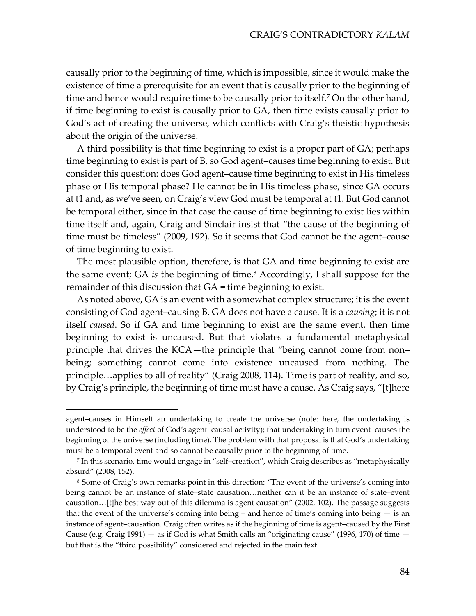causally prior to the beginning of time, which is impossible, since it would make the existence of time a prerequisite for an event that is causally prior to the beginning of time and hence would require time to be causally prior to itself.<sup>7</sup> On the other hand, if time beginning to exist is causally prior to GA, then time exists causally prior to God's act of creating the universe, which conflicts with Craig's theistic hypothesis about the origin of the universe.

A third possibility is that time beginning to exist is a proper part of GA; perhaps time beginning to exist is part of B, so God agent–causes time beginning to exist. But consider this question: does God agent–cause time beginning to exist in His timeless phase or His temporal phase? He cannot be in His timeless phase, since GA occurs at t1 and, as we've seen, on Craig's view God must be temporal at t1. But God cannot be temporal either, since in that case the cause of time beginning to exist lies within time itself and, again, Craig and Sinclair insist that "the cause of the beginning of time must be timeless" (2009, 192). So it seems that God cannot be the agent–cause of time beginning to exist.

The most plausible option, therefore, is that GA and time beginning to exist are the same event; GA *is* the beginning of time.<sup>8</sup> Accordingly, I shall suppose for the remainder of this discussion that GA = time beginning to exist.

As noted above, GA is an event with a somewhat complex structure; it is the event consisting of God agent–causing B. GA does not have a cause. It is a *causing*; it is not itself *caused*. So if GA and time beginning to exist are the same event, then time beginning to exist is uncaused. But that violates a fundamental metaphysical principle that drives the KCA—the principle that "being cannot come from non– being; something cannot come into existence uncaused from nothing. The principle…applies to all of reality" (Craig 2008, 114). Time is part of reality, and so, by Craig's principle, the beginning of time must have a cause. As Craig says, "[t]here

agent–causes in Himself an undertaking to create the universe (note: here, the undertaking is understood to be the *effect* of God's agent–causal activity); that undertaking in turn event–causes the beginning of the universe (including time). The problem with that proposal is that God's undertaking must be a temporal event and so cannot be causally prior to the beginning of time.

<sup>7</sup> In this scenario, time would engage in "self–creation", which Craig describes as "metaphysically absurd" (2008, 152).

<sup>8</sup> Some of Craig's own remarks point in this direction: "The event of the universe's coming into being cannot be an instance of state–state causation…neither can it be an instance of state–event causation…[t]he best way out of this dilemma is agent causation" (2002, 102). The passage suggests that the event of the universe's coming into being  $-$  and hence of time's coming into being  $-$  is an instance of agent–causation. Craig often writes as if the beginning of time is agent–caused by the First Cause (e.g. Craig 1991) — as if God is what Smith calls an "originating cause" (1996, 170) of time  $$ but that is the "third possibility" considered and rejected in the main text.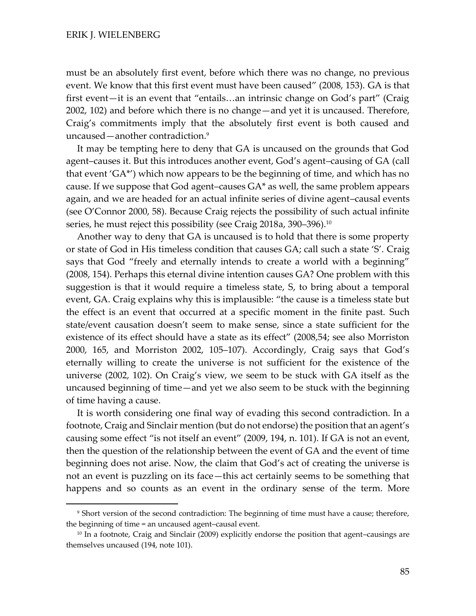must be an absolutely first event, before which there was no change, no previous event. We know that this first event must have been caused" (2008, 153). GA is that first event—it is an event that "entails…an intrinsic change on God's part" (Craig 2002, 102) and before which there is no change—and yet it is uncaused. Therefore, Craig's commitments imply that the absolutely first event is both caused and uncaused—another contradiction.<sup>9</sup>

It may be tempting here to deny that GA is uncaused on the grounds that God agent–causes it. But this introduces another event, God's agent–causing of GA (call that event 'GA\*') which now appears to be the beginning of time, and which has no cause. If we suppose that God agent–causes GA\* as well, the same problem appears again, and we are headed for an actual infinite series of divine agent–causal events (see O'Connor 2000, 58). Because Craig rejects the possibility of such actual infinite series, he must reject this possibility (see Craig 2018a, 390–396).<sup>10</sup>

Another way to deny that GA is uncaused is to hold that there is some property or state of God in His timeless condition that causes GA; call such a state 'S'. Craig says that God "freely and eternally intends to create a world with a beginning" (2008, 154). Perhaps this eternal divine intention causes GA? One problem with this suggestion is that it would require a timeless state, S, to bring about a temporal event, GA. Craig explains why this is implausible: "the cause is a timeless state but the effect is an event that occurred at a specific moment in the finite past. Such state/event causation doesn't seem to make sense, since a state sufficient for the existence of its effect should have a state as its effect" (2008,54; see also Morriston 2000, 165, and Morriston 2002, 105–107). Accordingly, Craig says that God's eternally willing to create the universe is not sufficient for the existence of the universe (2002, 102). On Craig's view, we seem to be stuck with GA itself as the uncaused beginning of time—and yet we also seem to be stuck with the beginning of time having a cause.

It is worth considering one final way of evading this second contradiction. In a footnote, Craig and Sinclair mention (but do not endorse) the position that an agent's causing some effect "is not itself an event" (2009, 194, n. 101). If GA is not an event, then the question of the relationship between the event of GA and the event of time beginning does not arise. Now, the claim that God's act of creating the universe is not an event is puzzling on its face—this act certainly seems to be something that happens and so counts as an event in the ordinary sense of the term. More

<sup>9</sup> Short version of the second contradiction: The beginning of time must have a cause; therefore, the beginning of time = an uncaused agent–causal event.

<sup>&</sup>lt;sup>10</sup> In a footnote, Craig and Sinclair (2009) explicitly endorse the position that agent–causings are themselves uncaused (194, note 101).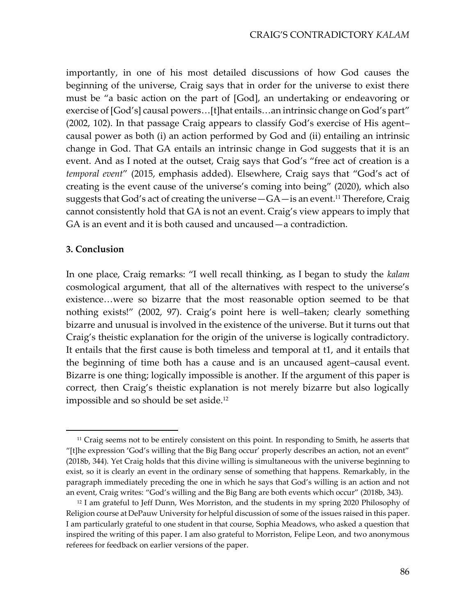importantly, in one of his most detailed discussions of how God causes the beginning of the universe, Craig says that in order for the universe to exist there must be "a basic action on the part of [God], an undertaking or endeavoring or exercise of [God's] causal powers…[t]hat entails…an intrinsic change on God's part" (2002, 102). In that passage Craig appears to classify God's exercise of His agent– causal power as both (i) an action performed by God and (ii) entailing an intrinsic change in God. That GA entails an intrinsic change in God suggests that it is an event. And as I noted at the outset, Craig says that God's "free act of creation is a *temporal event*" (2015, emphasis added). Elsewhere, Craig says that "God's act of creating is the event cause of the universe's coming into being" (2020), which also suggests that God's act of creating the universe  $-GA$ —is an event.<sup>11</sup> Therefore, Craig cannot consistently hold that GA is not an event. Craig's view appears to imply that GA is an event and it is both caused and uncaused—a contradiction.

### **3. Conclusion**

In one place, Craig remarks: "I well recall thinking, as I began to study the *kalam* cosmological argument, that all of the alternatives with respect to the universe's existence…were so bizarre that the most reasonable option seemed to be that nothing exists!" (2002, 97). Craig's point here is well–taken; clearly something bizarre and unusual is involved in the existence of the universe. But it turns out that Craig's theistic explanation for the origin of the universe is logically contradictory. It entails that the first cause is both timeless and temporal at t1, and it entails that the beginning of time both has a cause and is an uncaused agent–causal event. Bizarre is one thing; logically impossible is another. If the argument of this paper is correct, then Craig's theistic explanation is not merely bizarre but also logically impossible and so should be set aside.<sup>12</sup>

<sup>&</sup>lt;sup>11</sup> Craig seems not to be entirely consistent on this point. In responding to Smith, he asserts that "[t]he expression 'God's willing that the Big Bang occur' properly describes an action, not an event" (2018b, 344). Yet Craig holds that this divine willing is simultaneous with the universe beginning to exist, so it is clearly an event in the ordinary sense of something that happens. Remarkably, in the paragraph immediately preceding the one in which he says that God's willing is an action and not an event, Craig writes: "God's willing and the Big Bang are both events which occur" (2018b, 343).

<sup>&</sup>lt;sup>12</sup> I am grateful to Jeff Dunn, Wes Morriston, and the students in my spring 2020 Philosophy of Religion course at DePauw University for helpful discussion of some of the issues raised in this paper. I am particularly grateful to one student in that course, Sophia Meadows, who asked a question that inspired the writing of this paper. I am also grateful to Morriston, Felipe Leon, and two anonymous referees for feedback on earlier versions of the paper.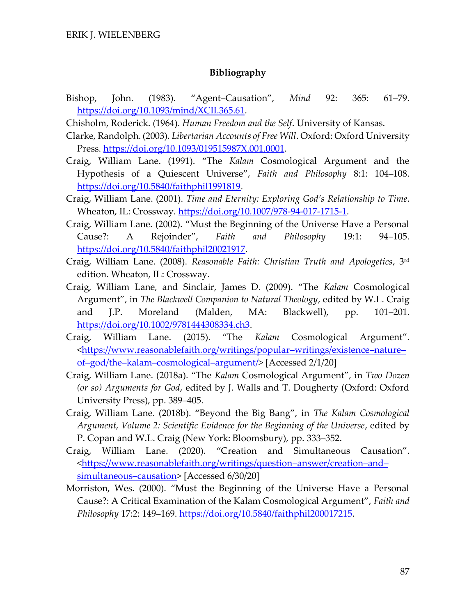#### **Bibliography**

- Bishop, John. (1983). "Agent–Causation", *Mind* 92: 365: 61–79. [https://doi.org/10.1093/mind/XCII.365.61.](https://doi.org/10.1093/mind/XCII.365.61)
- Chisholm, Roderick. (1964). *Human Freedom and the Self*. University of Kansas.
- Clarke, Randolph. (2003). *Libertarian Accounts of Free Will*. Oxford: Oxford University Press. [https://doi.org/10.1093/019515987X.001.0001.](https://doi.org/10.1093/019515987X.001.0001)
- Craig, William Lane. (1991). "The *Kalam* Cosmological Argument and the Hypothesis of a Quiescent Universe", *Faith and Philosophy* 8:1: 104–108. [https://doi.org/10.5840/faithphil1991819.](https://doi.org/10.5840/faithphil1991819)
- Craig, William Lane. (2001). *Time and Eternity: Exploring God's Relationship to Time*. Wheaton, IL: Crossway. [https://doi.org/10.1007/978-94-017-1715-1.](https://doi.org/10.1007/978-94-017-1715-1)
- Craig, William Lane. (2002). "Must the Beginning of the Universe Have a Personal Cause?: A Rejoinder", *Faith and Philosophy* 19:1: 94–105. [https://doi.org/10.5840/faithphil20021917.](https://doi.org/10.5840/faithphil20021917)
- Craig, William Lane. (2008). *Reasonable Faith: Christian Truth and Apologetics*, 3rd edition. Wheaton, IL: Crossway.
- Craig, William Lane, and Sinclair, James D. (2009). "The *Kalam* Cosmological Argument", in *The Blackwell Companion to Natural Theology*, edited by W.L. Craig and J.P. Moreland (Malden, MA: Blackwell), pp. 101–201. [https://doi.org/10.1002/9781444308334.ch3.](https://doi.org/10.1002/9781444308334.ch3)
- Craig, William Lane. (2015). "The *Kalam* Cosmological Argument". [<https://www.reasonablefaith.org/writings/popular](https://www.reasonablefaith.org/writings/popular-writings/existence-nature-of-god/the-kalam-cosmological-argument/)–writings/existence–nature– of–god/the–kalam–[cosmological](https://www.reasonablefaith.org/writings/popular-writings/existence-nature-of-god/the-kalam-cosmological-argument/)–argument/> [Accessed 2/1/20]
- Craig, William Lane. (2018a). "The *Kalam* Cosmological Argument", in *Two Dozen (or so) Arguments for God*, edited by J. Walls and T. Dougherty (Oxford: Oxford University Press), pp. 389–405.
- Craig, William Lane. (2018b). "Beyond the Big Bang", in *The Kalam Cosmological Argument, Volume 2: Scientific Evidence for the Beginning of the Universe*, edited by P. Copan and W.L. Craig (New York: Bloomsbury), pp. 333–352.
- Craig, William Lane. (2020). "Creation and Simultaneous Causation". [<https://www.reasonablefaith.org/writings/question](https://www.reasonablefaith.org/writings/question-answer/creation-and-simultaneous-causation)–answer/creation–and– [simultaneous](https://www.reasonablefaith.org/writings/question-answer/creation-and-simultaneous-causation)–causation> [Accessed 6/30/20]
- Morriston, Wes. (2000). "Must the Beginning of the Universe Have a Personal Cause?: A Critical Examination of the Kalam Cosmological Argument", *Faith and Philosophy* 17:2: 149–169. [https://doi.org/10.5840/faithphil200017215.](https://doi.org/10.5840/faithphil200017215)